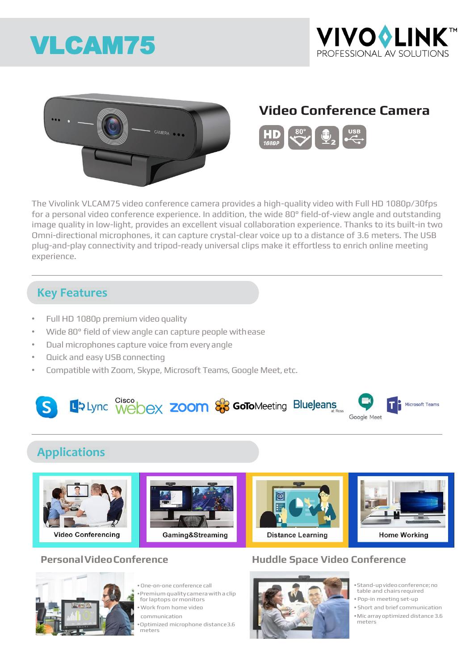# VLCAM75





## **Video Conference Camera**



The Vivolink VLCAM75 video conference camera provides a high-quality video with Full HD 1080p/30fps for a personal video conference experience. In addition, the wide 80° field-of-view angle and outstanding image quality in low-light, provides an excellent visual collaboration experience. Thanks to its built-in two Omni-directional microphones, it can capture crystal-clear voice up to a distance of 3.6 meters. The USB plug-and-play connectivity and tripod-ready universal clips make it effortless to enrich online meeting experience.

#### **Key Features**

- Full HD 1080p premium video quality
- Wide 80° field of view angle can capture people withease
- Dual microphones capture voice from every angle
- Quick and easy USB connecting
- Compatible with Zoom, Skype, Microsoft Teams, Google Meet, etc.



### **Applications**









• One-on-one conference call

- •Premiumquality camerawitha clip for laptops ormonitors
- Work from home video
- communication
- •Optimized microphone distance3.6 meters

#### **PersonalVideoConference Huddle Space Video Conference**



- •Stand-upvideo conference;no table and chairs required • Pop-in meeting set-up
- Short and brief communication
- •Mic array optimized distance 3.6 meters